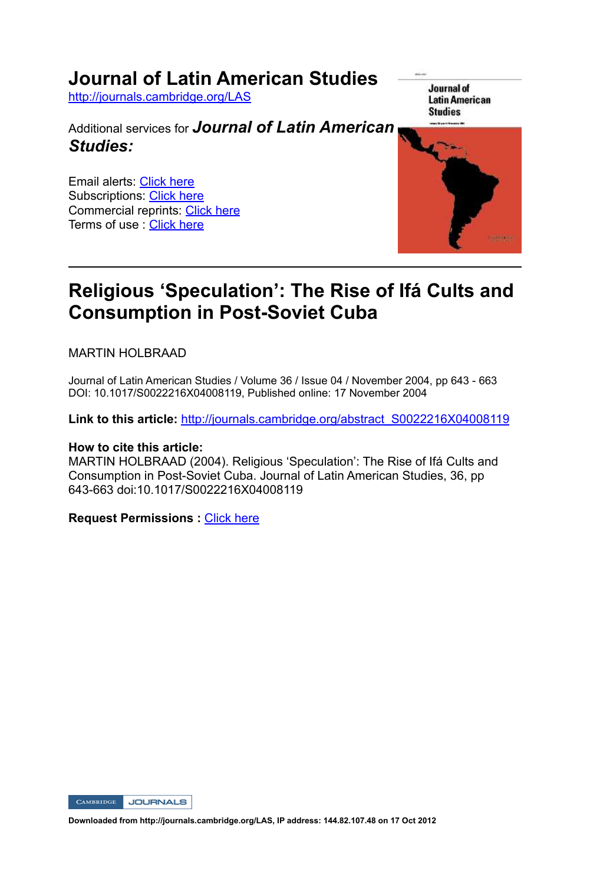## **Journal of Latin American Studies**

http://journals.cambridge.org/LAS

Additional services for *Journal of Latin American Studies:*

Email alerts: Click here Subscriptions: Click here Commercial reprints: Click here Terms of use : Click here

Journal of **Latin American Studies** 



# **Religious 'Speculation': The Rise of Ifá Cults and Consumption in Post-Soviet Cuba**

MARTIN HOLBRAAD

Journal of Latin American Studies / Volume 36 / Issue 04 / November 2004, pp 643 - 663 DOI: 10.1017/S0022216X04008119, Published online: 17 November 2004

**Link to this article:** http://journals.cambridge.org/abstract\_S0022216X04008119

#### **How to cite this article:**

MARTIN HOLBRAAD (2004). Religious 'Speculation': The Rise of Ifá Cults and Consumption in Post-Soviet Cuba. Journal of Latin American Studies, 36, pp 643663 doi:10.1017/S0022216X04008119

#### **Request Permissions :** Click here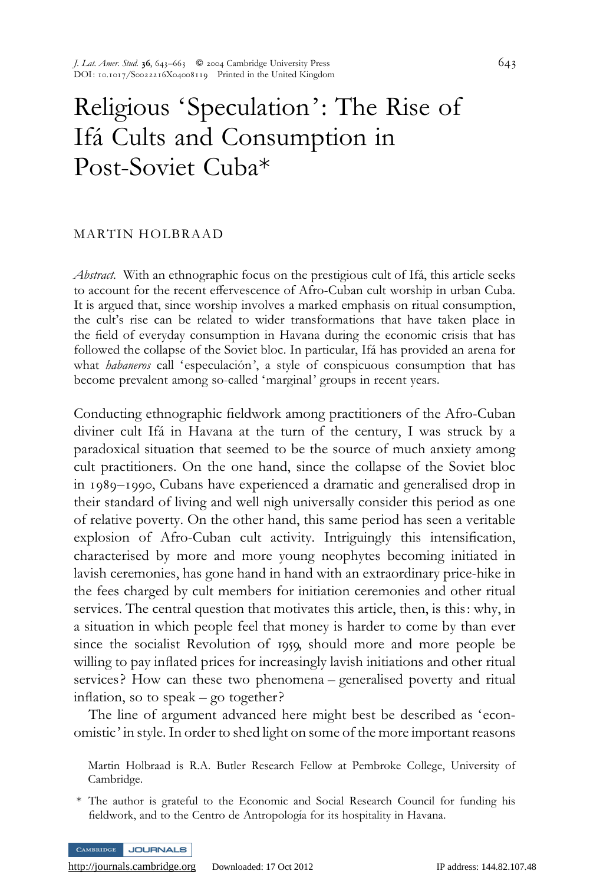# Religious 'Speculation': The Rise of Ifá Cults and Consumption in Post-Soviet Cuba\*

### MARTIN HOLBRAAD

Abstract. With an ethnographic focus on the prestigious cult of Ifa, this article seeks to account for the recent effervescence of Afro-Cuban cult worship in urban Cuba. It is argued that, since worship involves a marked emphasis on ritual consumption, the cult's rise can be related to wider transformations that have taken place in the field of everyday consumption in Havana during the economic crisis that has followed the collapse of the Soviet bloc. In particular, Ifa has provided an arena for what habaneros call 'especulación', a style of conspicuous consumption that has become prevalent among so-called 'marginal' groups in recent years.

Conducting ethnographic fieldwork among practitioners of the Afro-Cuban diviner cult Ifá in Havana at the turn of the century, I was struck by a paradoxical situation that seemed to be the source of much anxiety among cult practitioners. On the one hand, since the collapse of the Soviet bloc in 1989–1990, Cubans have experienced a dramatic and generalised drop in their standard of living and well nigh universally consider this period as one of relative poverty. On the other hand, this same period has seen a veritable explosion of Afro-Cuban cult activity. Intriguingly this intensification, characterised by more and more young neophytes becoming initiated in lavish ceremonies, has gone hand in hand with an extraordinary price-hike in the fees charged by cult members for initiation ceremonies and other ritual services. The central question that motivates this article, then, is this: why, in a situation in which people feel that money is harder to come by than ever since the socialist Revolution of 1959, should more and more people be willing to pay inflated prices for increasingly lavish initiations and other ritual services ? How can these two phenomena – generalised poverty and ritual inflation, so to speak – go together ?

The line of argument advanced here might best be described as 'economistic' in style. In order to shed light on some of the more important reasons

Martin Holbraad is R.A. Butler Research Fellow at Pembroke College, University of Cambridge.

JOURNALS

The author is grateful to the Economic and Social Research Council for funding his fieldwork, and to the Centro de Antropología for its hospitality in Havana.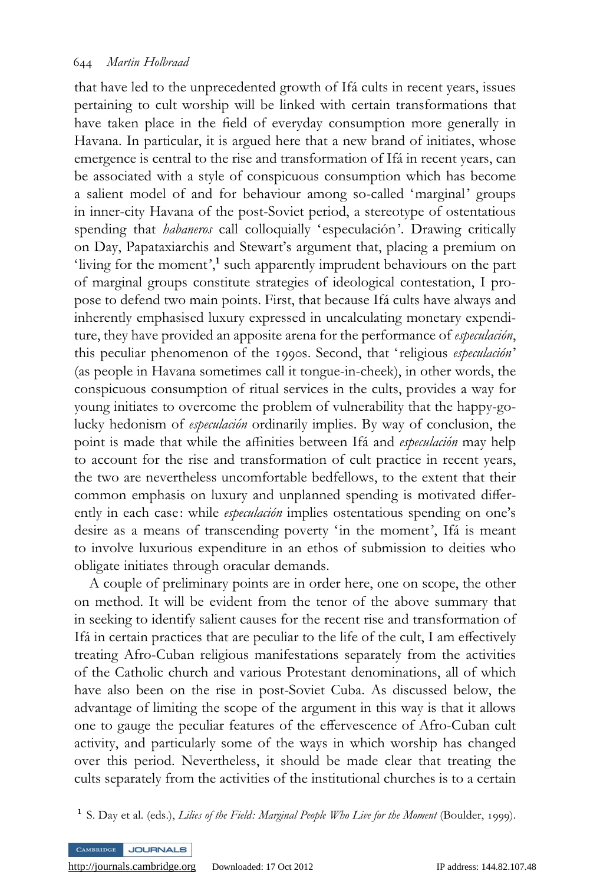that have led to the unprecedented growth of Ifa cults in recent years, issues pertaining to cult worship will be linked with certain transformations that have taken place in the field of everyday consumption more generally in Havana. In particular, it is argued here that a new brand of initiates, whose emergence is central to the rise and transformation of Ifa in recent years, can be associated with a style of conspicuous consumption which has become a salient model of and for behaviour among so-called 'marginal' groups in inner-city Havana of the post-Soviet period, a stereotype of ostentatious spending that habaneros call colloquially 'especulación'. Drawing critically on Day, Papataxiarchis and Stewart's argument that, placing a premium on 'living for the moment',<sup>1</sup> such apparently imprudent behaviours on the part of marginal groups constitute strategies of ideological contestation, I propose to defend two main points. First, that because Ifá cults have always and inherently emphasised luxury expressed in uncalculating monetary expenditure, they have provided an apposite arena for the performance of especulación, this peculiar phenomenon of the 1990s. Second, that 'religious especulación' (as people in Havana sometimes call it tongue-in-cheek), in other words, the conspicuous consumption of ritual services in the cults, provides a way for young initiates to overcome the problem of vulnerability that the happy-golucky hedonism of *especulación* ordinarily implies. By way of conclusion, the point is made that while the affinities between Ifá and especulación may help to account for the rise and transformation of cult practice in recent years, the two are nevertheless uncomfortable bedfellows, to the extent that their common emphasis on luxury and unplanned spending is motivated differently in each case: while *especulación* implies ostentatious spending on one's desire as a means of transcending poverty 'in the moment', Ifa´ is meant to involve luxurious expenditure in an ethos of submission to deities who obligate initiates through oracular demands.

A couple of preliminary points are in order here, one on scope, the other on method. It will be evident from the tenor of the above summary that in seeking to identify salient causes for the recent rise and transformation of Ifá in certain practices that are peculiar to the life of the cult, I am effectively treating Afro-Cuban religious manifestations separately from the activities of the Catholic church and various Protestant denominations, all of which have also been on the rise in post-Soviet Cuba. As discussed below, the advantage of limiting the scope of the argument in this way is that it allows one to gauge the peculiar features of the effervescence of Afro-Cuban cult activity, and particularly some of the ways in which worship has changed over this period. Nevertheless, it should be made clear that treating the cults separately from the activities of the institutional churches is to a certain

<sup>1</sup> S. Day et al. (eds.), *Lilies of the Field: Marginal People Who Live for the Moment* (Boulder, 1999).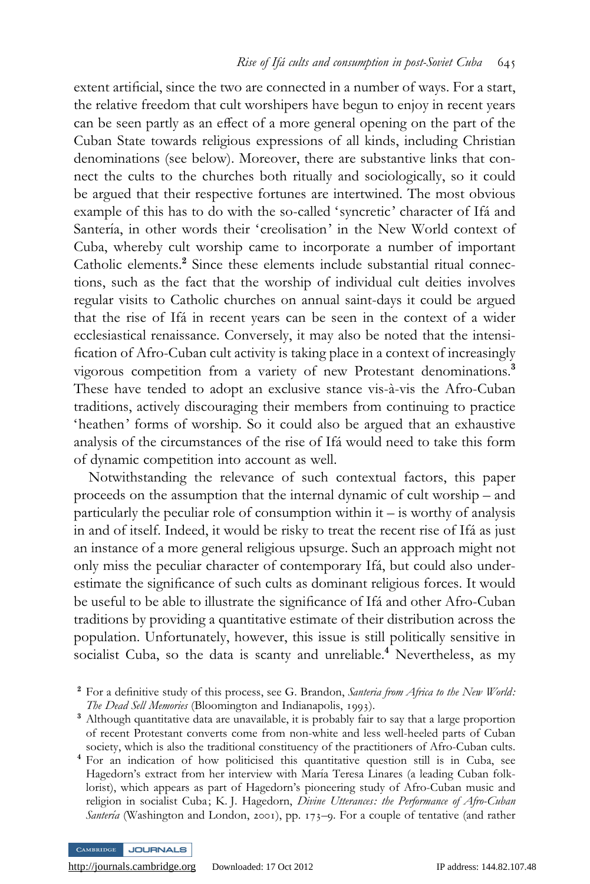extent artificial, since the two are connected in a number of ways. For a start, the relative freedom that cult worshipers have begun to enjoy in recent years can be seen partly as an effect of a more general opening on the part of the Cuban State towards religious expressions of all kinds, including Christian denominations (see below). Moreover, there are substantive links that connect the cults to the churches both ritually and sociologically, so it could be argued that their respective fortunes are intertwined. The most obvious example of this has to do with the so-called 'syncretic' character of Ifá and Santería, in other words their 'creolisation' in the New World context of Cuba, whereby cult worship came to incorporate a number of important Catholic elements.<sup>2</sup> Since these elements include substantial ritual connections, such as the fact that the worship of individual cult deities involves regular visits to Catholic churches on annual saint-days it could be argued that the rise of Ifa´ in recent years can be seen in the context of a wider ecclesiastical renaissance. Conversely, it may also be noted that the intensification of Afro-Cuban cult activity is taking place in a context of increasingly vigorous competition from a variety of new Protestant denominations.<sup>3</sup> These have tended to adopt an exclusive stance vis-à-vis the Afro-Cuban traditions, actively discouraging their members from continuing to practice ' heathen' forms of worship. So it could also be argued that an exhaustive analysis of the circumstances of the rise of Ifa would need to take this form of dynamic competition into account as well.

Notwithstanding the relevance of such contextual factors, this paper proceeds on the assumption that the internal dynamic of cult worship – and particularly the peculiar role of consumption within it – is worthy of analysis in and of itself. Indeed, it would be risky to treat the recent rise of Ifá as just an instance of a more general religious upsurge. Such an approach might not only miss the peculiar character of contemporary Ifá, but could also underestimate the significance of such cults as dominant religious forces. It would be useful to be able to illustrate the significance of Ifá and other Afro-Cuban traditions by providing a quantitative estimate of their distribution across the population. Unfortunately, however, this issue is still politically sensitive in socialist Cuba, so the data is scanty and unreliable.<sup>4</sup> Nevertheless, as my

<sup>4</sup> For an indication of how politicised this quantitative question still is in Cuba, see Hagedorn's extract from her interview with María Teresa Linares (a leading Cuban folklorist), which appears as part of Hagedorn's pioneering study of Afro-Cuban music and religion in socialist Cuba; K. J. Hagedorn, Divine Utterances: the Performance of Afro-Cuban Santería (Washington and London, 2001), pp. 173-9. For a couple of tentative (and rather

JOURNALS

<sup>&</sup>lt;sup>2</sup> For a definitive study of this process, see G. Brandon, Santeria from Africa to the New World:

The Dead Sell Memories (Bloomington and Indianapolis, 1993).<br><sup>3</sup> Although quantitative data are unavailable, it is probably fair to say that a large proportion of recent Protestant converts come from non-white and less well-heeled parts of Cuban society, which is also the traditional constituency of the practitioners of Afro-Cuban cults.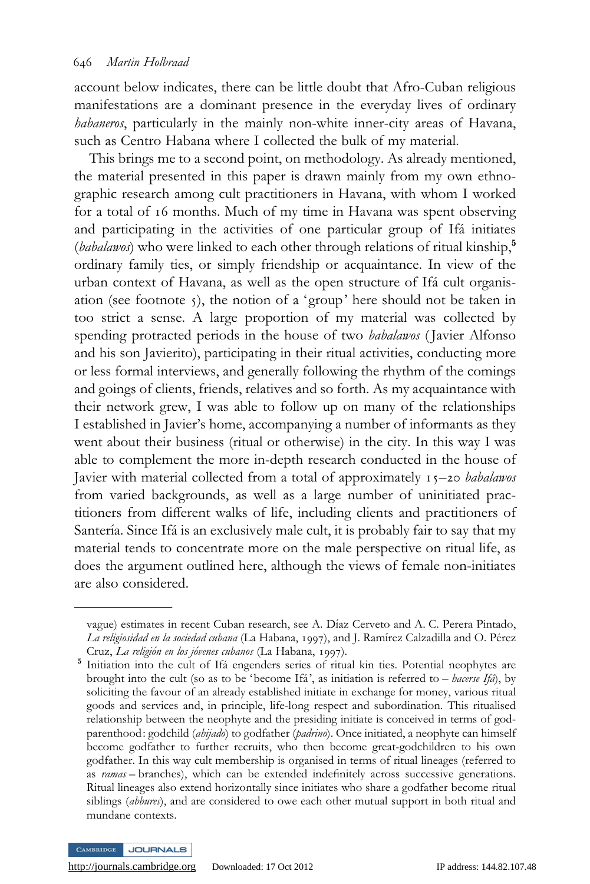account below indicates, there can be little doubt that Afro-Cuban religious manifestations are a dominant presence in the everyday lives of ordinary habaneros, particularly in the mainly non-white inner-city areas of Havana, such as Centro Habana where I collected the bulk of my material.

This brings me to a second point, on methodology. As already mentioned, the material presented in this paper is drawn mainly from my own ethnographic research among cult practitioners in Havana, with whom I worked for a total of 16 months. Much of my time in Havana was spent observing and participating in the activities of one particular group of Ifá initiates (*babalawos*) who were linked to each other through relations of ritual kinship, $5$ ordinary family ties, or simply friendship or acquaintance. In view of the urban context of Havana, as well as the open structure of Ifá cult organisation (see footnote  $\zeta$ ), the notion of a 'group' here should not be taken in too strict a sense. A large proportion of my material was collected by spending protracted periods in the house of two babalawos (Javier Alfonso and his son Javierito), participating in their ritual activities, conducting more or less formal interviews, and generally following the rhythm of the comings and goings of clients, friends, relatives and so forth. As my acquaintance with their network grew, I was able to follow up on many of the relationships I established in Javier's home, accompanying a number of informants as they went about their business (ritual or otherwise) in the city. In this way I was able to complement the more in-depth research conducted in the house of Javier with material collected from a total of approximately 15–20 babalawos from varied backgrounds, as well as a large number of uninitiated practitioners from different walks of life, including clients and practitioners of Santería. Since Ifá is an exclusively male cult, it is probably fair to say that my material tends to concentrate more on the male perspective on ritual life, as does the argument outlined here, although the views of female non-initiates are also considered.

vague) estimates in recent Cuban research, see A. Dı´az Cerveto and A. C. Perera Pintado, La religiosidad en la sociedad cubana (La Habana, 1997), and J. Ramírez Calzadilla and O. Pérez

Cruz, La religión en los jóvenes cubanos (La Habana, 1997).<br><sup>5</sup> Initiation into the cult of Ifá engenders series of ritual kin ties. Potential neophytes are brought into the cult (so as to be 'become Ifa', as initiation is referred to – *hacerse Ifa*), by soliciting the favour of an already established initiate in exchange for money, various ritual goods and services and, in principle, life-long respect and subordination. This ritualised relationship between the neophyte and the presiding initiate is conceived in terms of godparenthood: godchild (ahijado) to godfather (padrino). Once initiated, a neophyte can himself become godfather to further recruits, who then become great-godchildren to his own godfather. In this way cult membership is organised in terms of ritual lineages (referred to as ramas – branches), which can be extended indefinitely across successive generations. Ritual lineages also extend horizontally since initiates who share a godfather become ritual siblings (abbures), and are considered to owe each other mutual support in both ritual and mundane contexts.

JOURNALS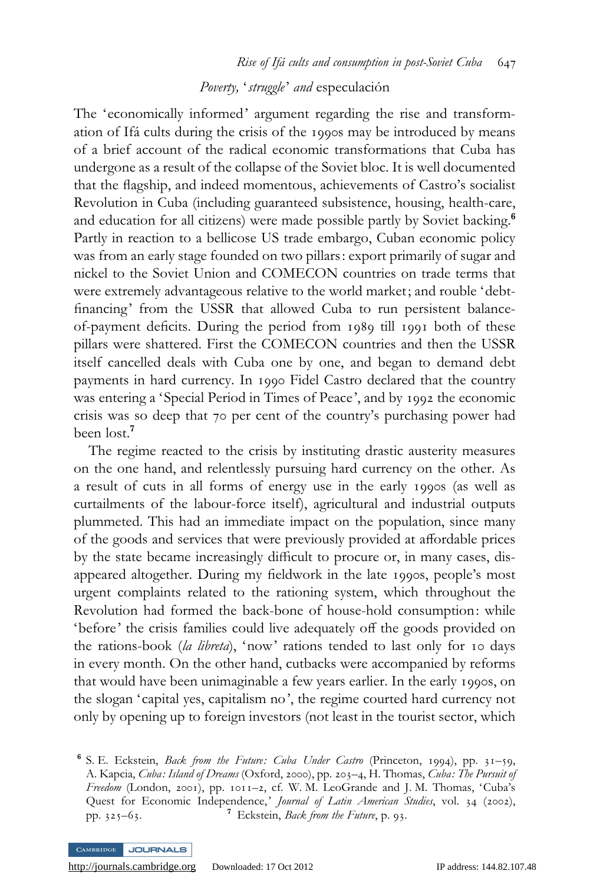### Poverty, 'struggle' and especulación

The 'economically informed' argument regarding the rise and transformation of Ifa´ cults during the crisis of the 1990s may be introduced by means of a brief account of the radical economic transformations that Cuba has undergone as a result of the collapse of the Soviet bloc. It is well documented that the flagship, and indeed momentous, achievements of Castro's socialist Revolution in Cuba (including guaranteed subsistence, housing, health-care, and education for all citizens) were made possible partly by Soviet backing.<sup>6</sup> Partly in reaction to a bellicose US trade embargo, Cuban economic policy was from an early stage founded on two pillars: export primarily of sugar and nickel to the Soviet Union and COMECON countries on trade terms that were extremely advantageous relative to the world market; and rouble ' debtfinancing' from the USSR that allowed Cuba to run persistent balanceof-payment deficits. During the period from 1989 till 1991 both of these pillars were shattered. First the COMECON countries and then the USSR itself cancelled deals with Cuba one by one, and began to demand debt payments in hard currency. In 1990 Fidel Castro declared that the country was entering a 'Special Period in Times of Peace', and by 1992 the economic crisis was so deep that 70 per cent of the country's purchasing power had been lost.<sup>7</sup>

The regime reacted to the crisis by instituting drastic austerity measures on the one hand, and relentlessly pursuing hard currency on the other. As a result of cuts in all forms of energy use in the early 1990s (as well as curtailments of the labour-force itself), agricultural and industrial outputs plummeted. This had an immediate impact on the population, since many of the goods and services that were previously provided at affordable prices by the state became increasingly difficult to procure or, in many cases, disappeared altogether. During my fieldwork in the late 1990s, people's most urgent complaints related to the rationing system, which throughout the Revolution had formed the back-bone of house-hold consumption: while ' before' the crisis families could live adequately off the goods provided on the rations-book (la libreta), 'now' rations tended to last only for 10 days in every month. On the other hand, cutbacks were accompanied by reforms that would have been unimaginable a few years earlier. In the early 1990s, on the slogan 'capital yes, capitalism no', the regime courted hard currency not only by opening up to foreign investors (not least in the tourist sector, which

<sup>&</sup>lt;sup>6</sup> S. E. Eckstein, *Back from the Future: Cuba Under Castro* (Princeton, 1994), pp.  $31$ -59, A. Kapcia, Cuba: Island of Dreams (Oxford, 2000), pp. 203-4, H. Thomas, Cuba: The Pursuit of Freedom (London, 2001), pp. 1011–2, cf. W. M. LeoGrande and J. M. Thomas, 'Cuba's Quest for Economic Independence,' Journal of Latin American Studies, vol. 34 (2002), pp.  $325-63$ .  $7$  Eckstein, *Back from the Future*, p. 93.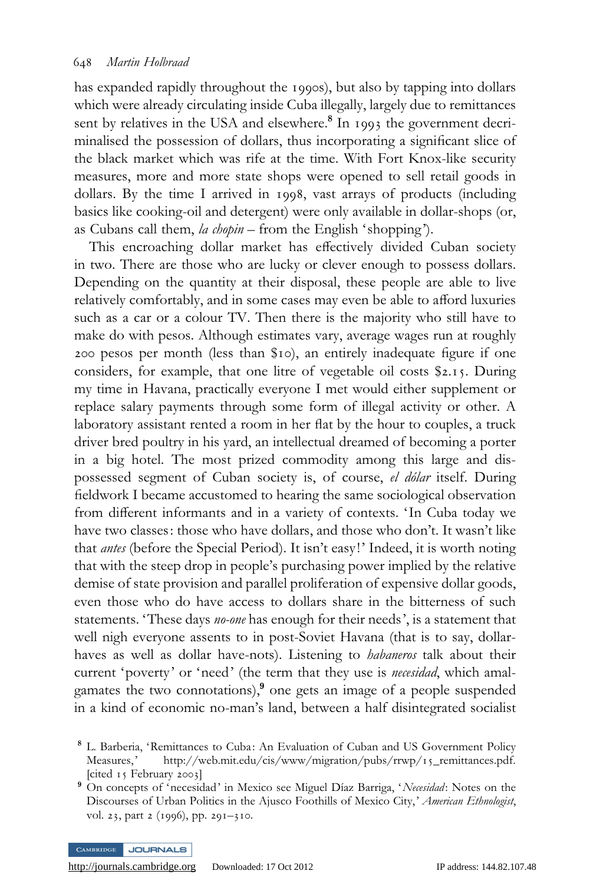has expanded rapidly throughout the 1990s), but also by tapping into dollars which were already circulating inside Cuba illegally, largely due to remittances sent by relatives in the USA and elsewhere. $8$  In 1993 the government decriminalised the possession of dollars, thus incorporating a significant slice of the black market which was rife at the time. With Fort Knox-like security measures, more and more state shops were opened to sell retail goods in dollars. By the time I arrived in 1998, vast arrays of products (including basics like cooking-oil and detergent) were only available in dollar-shops (or, as Cubans call them, la chopin – from the English 'shopping').

This encroaching dollar market has effectively divided Cuban society in two. There are those who are lucky or clever enough to possess dollars. Depending on the quantity at their disposal, these people are able to live relatively comfortably, and in some cases may even be able to afford luxuries such as a car or a colour TV. Then there is the majority who still have to make do with pesos. Although estimates vary, average wages run at roughly 200 pesos per month (less than \$10), an entirely inadequate figure if one considers, for example, that one litre of vegetable oil costs \$2.15. During my time in Havana, practically everyone I met would either supplement or replace salary payments through some form of illegal activity or other. A laboratory assistant rented a room in her flat by the hour to couples, a truck driver bred poultry in his yard, an intellectual dreamed of becoming a porter in a big hotel. The most prized commodity among this large and dispossessed segment of Cuban society is, of course, el dólar itself. During fieldwork I became accustomed to hearing the same sociological observation from different informants and in a variety of contexts. 'In Cuba today we have two classes: those who have dollars, and those who don't. It wasn't like that antes (before the Special Period). It isn't easy!' Indeed, it is worth noting that with the steep drop in people's purchasing power implied by the relative demise of state provision and parallel proliferation of expensive dollar goods, even those who do have access to dollars share in the bitterness of such statements. 'These days no-one has enough for their needs', is a statement that well nigh everyone assents to in post-Soviet Havana (that is to say, dollarhaves as well as dollar have-nots). Listening to habaneros talk about their current 'poverty' or 'need' (the term that they use is necesidad, which amalgamates the two connotations), $\frac{9}{2}$  one gets an image of a people suspended in a kind of economic no-man's land, between a half disintegrated socialist

<sup>8</sup> L. Barberia, 'Remittances to Cuba: An Evaluation of Cuban and US Government Policy Measures,' http://web.mit.edu/cis/www/migration/pubs/rrwp/15\_remittances.pdf. [cited 15 February 2003]

<sup>&</sup>lt;sup>9</sup> On concepts of 'necesidad' in Mexico see Miguel Díaz Barriga, 'Necesidad: Notes on the Discourses of Urban Politics in the Ajusco Foothills of Mexico City,' American Ethnologist, vol. 23, part 2 (1996), pp. 291–310.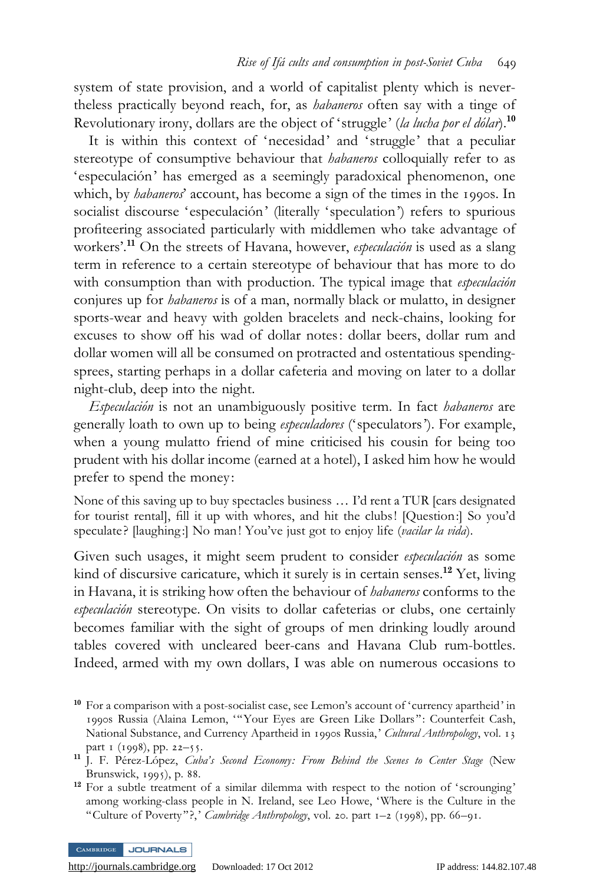system of state provision, and a world of capitalist plenty which is nevertheless practically beyond reach, for, as habaneros often say with a tinge of Revolutionary irony, dollars are the object of 'struggle' (la lucha por el dólar).<sup>10</sup>

It is within this context of 'necesidad' and 'struggle' that a peculiar stereotype of consumptive behaviour that *habaneros* colloquially refer to as 'especulación' has emerged as a seemingly paradoxical phenomenon, one which, by *habaneros'* account, has become a sign of the times in the 1990s. In socialist discourse 'especulación' (literally 'speculation') refers to spurious profiteering associated particularly with middlemen who take advantage of workers'.<sup>11</sup> On the streets of Havana, however, *especulación* is used as a slang term in reference to a certain stereotype of behaviour that has more to do with consumption than with production. The typical image that especulación conjures up for habaneros is of a man, normally black or mulatto, in designer sports-wear and heavy with golden bracelets and neck-chains, looking for excuses to show off his wad of dollar notes: dollar beers, dollar rum and dollar women will all be consumed on protracted and ostentatious spendingsprees, starting perhaps in a dollar cafeteria and moving on later to a dollar night-club, deep into the night.

Especulación is not an unambiguously positive term. In fact habaneros are generally loath to own up to being especuladores (' speculators'). For example, when a young mulatto friend of mine criticised his cousin for being too prudent with his dollar income (earned at a hotel), I asked him how he would prefer to spend the money:

None of this saving up to buy spectacles business ... I'd rent a TUR [cars designated for tourist rental], fill it up with whores, and hit the clubs! [Question:] So you'd speculate? [laughing:] No man! You've just got to enjoy life (vacilar la vida).

Given such usages, it might seem prudent to consider especulación as some kind of discursive caricature, which it surely is in certain senses.<sup>12</sup> Yet, living in Havana, it is striking how often the behaviour of habaneros conforms to the especulación stereotype. On visits to dollar cafeterias or clubs, one certainly becomes familiar with the sight of groups of men drinking loudly around tables covered with uncleared beer-cans and Havana Club rum-bottles. Indeed, armed with my own dollars, I was able on numerous occasions to

<sup>&</sup>lt;sup>10</sup> For a comparison with a post-socialist case, see Lemon's account of 'currency apartheid' in 1990s Russia (Alaina Lemon, '''Your Eyes are Green Like Dollars'': Counterfeit Cash, National Substance, and Currency Apartheid in 1990s Russia,' Cultural Anthropology, vol. 13

part 1 (1998), pp. 22–55.<br>
<sup>11</sup> J. F. Pérez-López, *Cuba's Second Economy: From Behind the Scenes to Center Stage* (New<br>
Brunswick, 1995), p. 88.

<sup>&</sup>lt;sup>12</sup> For a subtle treatment of a similar dilemma with respect to the notion of 'scrounging' among working-class people in N. Ireland, see Leo Howe, 'Where is the Culture in the "Culture of Poverty"?,' Cambridge Anthropology, vol. 20. part 1-2 (1998), pp. 66-91.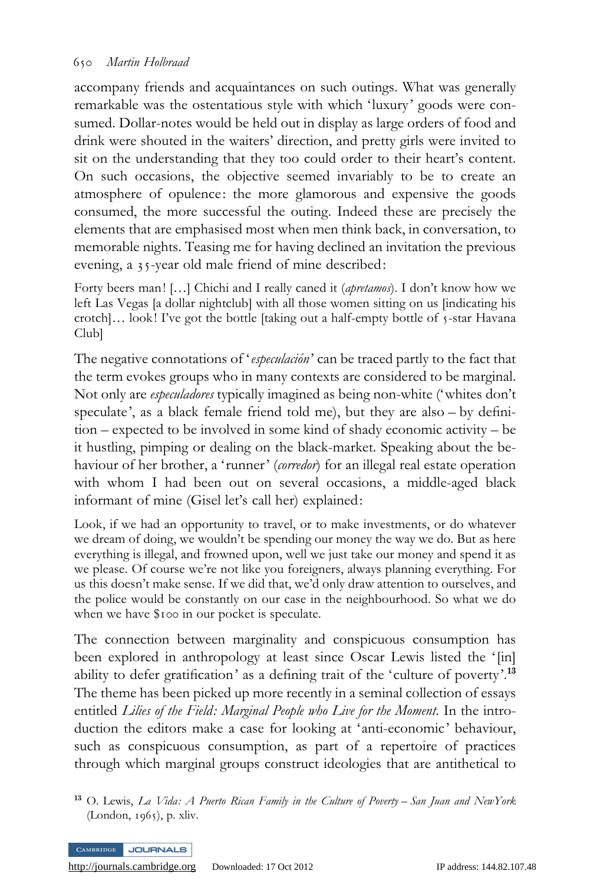accompany friends and acquaintances on such outings. What was generally remarkable was the ostentatious style with which 'luxury' goods were consumed. Dollar-notes would be held out in display as large orders of food and drink were shouted in the waiters' direction, and pretty girls were invited to sit on the understanding that they too could order to their heart's content. On such occasions, the objective seemed invariably to be to create an atmosphere of opulence: the more glamorous and expensive the goods consumed, the more successful the outing. Indeed these are precisely the elements that are emphasised most when men think back, in conversation, to memorable nights. Teasing me for having declined an invitation the previous evening, a 35-year old male friend of mine described:

Forty beers man! [...] Chichi and I really caned it (apretamos). I don't know how we left Las Vegas [a dollar nightclub] with all those women sitting on us [indicating his crotch]... look! I've got the bottle [taking out a half-empty bottle of  $\zeta$ -star Havana Club]

The negative connotations of 'especulación' can be traced partly to the fact that the term evokes groups who in many contexts are considered to be marginal. Not only are especuladores typically imagined as being non-white ('whites don't speculate', as a black female friend told me), but they are also – by definition – expected to be involved in some kind of shady economic activity – be it hustling, pimping or dealing on the black-market. Speaking about the behaviour of her brother, a 'runner' (corredor) for an illegal real estate operation with whom I had been out on several occasions, a middle-aged black informant of mine (Gisel let's call her) explained:

Look, if we had an opportunity to travel, or to make investments, or do whatever we dream of doing, we wouldn't be spending our money the way we do. But as here everything is illegal, and frowned upon, well we just take our money and spend it as we please. Of course we're not like you foreigners, always planning everything. For us this doesn't make sense. If we did that, we'd only draw attention to ourselves, and the police would be constantly on our case in the neighbourhood. So what we do when we have \$100 in our pocket is speculate.

The connection between marginality and conspicuous consumption has been explored in anthropology at least since Oscar Lewis listed the '[in] ability to defer gratification' as a defining trait of the 'culture of poverty'.<sup>13</sup> The theme has been picked up more recently in a seminal collection of essays entitled Lilies of the Field: Marginal People who Live for the Moment. In the introduction the editors make a case for looking at 'anti-economic' behaviour, such as conspicuous consumption, as part of a repertoire of practices through which marginal groups construct ideologies that are antithetical to

<sup>13</sup> O. Lewis, La Vida: A Puerto Rican Family in the Culture of Poverty – San Juan and NewYork (London, 1965), p. xliv.

JOURNALS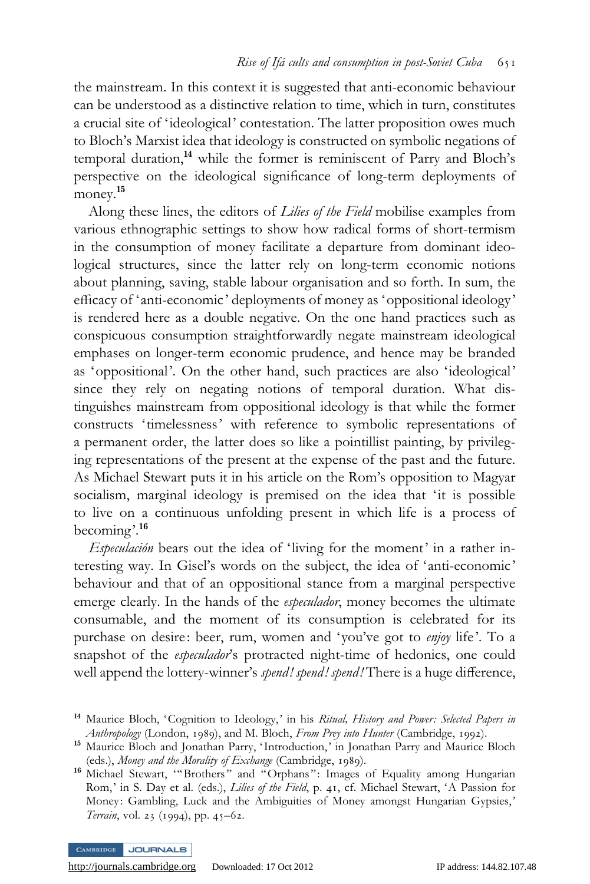the mainstream. In this context it is suggested that anti-economic behaviour can be understood as a distinctive relation to time, which in turn, constitutes a crucial site of 'ideological' contestation. The latter proposition owes much to Bloch's Marxist idea that ideology is constructed on symbolic negations of temporal duration,<sup>14</sup> while the former is reminiscent of Parry and Bloch's perspective on the ideological significance of long-term deployments of money.<sup>15</sup>

Along these lines, the editors of Lilies of the Field mobilise examples from various ethnographic settings to show how radical forms of short-termism in the consumption of money facilitate a departure from dominant ideological structures, since the latter rely on long-term economic notions about planning, saving, stable labour organisation and so forth. In sum, the efficacy of 'anti-economic' deployments of money as 'oppositional ideology' is rendered here as a double negative. On the one hand practices such as conspicuous consumption straightforwardly negate mainstream ideological emphases on longer-term economic prudence, and hence may be branded as ' oppositional'. On the other hand, such practices are also 'ideological' since they rely on negating notions of temporal duration. What distinguishes mainstream from oppositional ideology is that while the former constructs 'timelessness' with reference to symbolic representations of a permanent order, the latter does so like a pointillist painting, by privileging representations of the present at the expense of the past and the future. As Michael Stewart puts it in his article on the Rom's opposition to Magyar socialism, marginal ideology is premised on the idea that 'it is possible to live on a continuous unfolding present in which life is a process of becoming'.<sup>16</sup>

Especulación bears out the idea of 'living for the moment' in a rather interesting way. In Gisel's words on the subject, the idea of 'anti-economic' behaviour and that of an oppositional stance from a marginal perspective emerge clearly. In the hands of the *especulador*, money becomes the ultimate consumable, and the moment of its consumption is celebrated for its purchase on desire: beer, rum, women and 'you've got to enjoy life'. To a snapshot of the especulador's protracted night-time of hedonics, one could well append the lottery-winner's spend! spend! spend! There is a huge difference,

JOURNALS

<sup>&</sup>lt;sup>14</sup> Maurice Bloch, 'Cognition to Ideology,' in his *Ritual, History and Power: Selected Papers in Anthropology* (London, 1989), and M. Bloch, *From Prey into Hunter* (Cambridge, 1992).

<sup>&</sup>lt;sup>15</sup> Maurice Bloch and Jonathan Parry, 'Introduction,' in Jonathan Parry and Maurice Bloch (eds.), *Money and the Morality of Exchange* (Cambridge, 1989).

<sup>&</sup>lt;sup>16</sup> Michael Stewart, "Brothers" and "Orphans": Images of Equality among Hungarian Rom,' in S. Day et al. (eds.), Lilies of the Field, p. 41, cf. Michael Stewart, 'A Passion for Money: Gambling, Luck and the Ambiguities of Money amongst Hungarian Gypsies,' Terrain, vol. 23 (1994), pp. 45–62.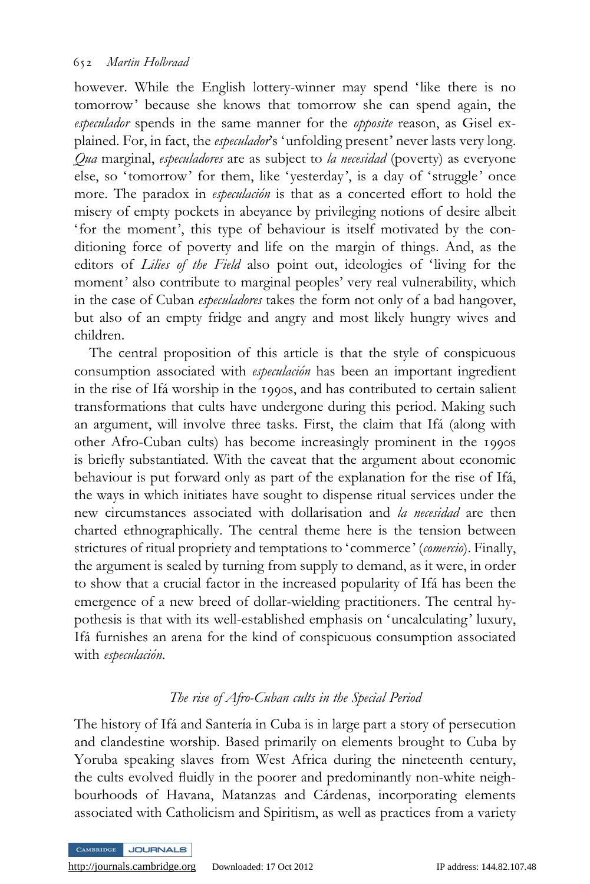however. While the English lottery-winner may spend 'like there is no tomorrow' because she knows that tomorrow she can spend again, the especulador spends in the same manner for the opposite reason, as Gisel explained. For, in fact, the *especulador's* 'unfolding present' never lasts very long. Qua marginal, especuladores are as subject to la necesidad (poverty) as everyone else, so 'tomorrow' for them, like 'yesterday', is a day of 'struggle' once more. The paradox in *especulación* is that as a concerted effort to hold the misery of empty pockets in abeyance by privileging notions of desire albeit ' for the moment', this type of behaviour is itself motivated by the conditioning force of poverty and life on the margin of things. And, as the editors of Lilies of the Field also point out, ideologies of 'living for the moment' also contribute to marginal peoples' very real vulnerability, which in the case of Cuban especuladores takes the form not only of a bad hangover, but also of an empty fridge and angry and most likely hungry wives and children.

The central proposition of this article is that the style of conspicuous consumption associated with *especulación* has been an important ingredient in the rise of Ifa´ worship in the 1990s, and has contributed to certain salient transformations that cults have undergone during this period. Making such an argument, will involve three tasks. First, the claim that Ifá (along with other Afro-Cuban cults) has become increasingly prominent in the 1990s is briefly substantiated. With the caveat that the argument about economic behaviour is put forward only as part of the explanation for the rise of Ifá, the ways in which initiates have sought to dispense ritual services under the new circumstances associated with dollarisation and la necesidad are then charted ethnographically. The central theme here is the tension between strictures of ritual propriety and temptations to 'commerce' (comercio). Finally, the argument is sealed by turning from supply to demand, as it were, in order to show that a crucial factor in the increased popularity of Ifa´ has been the emergence of a new breed of dollar-wielding practitioners. The central hypothesis is that with its well-established emphasis on 'uncalculating' luxury, Ifa´ furnishes an arena for the kind of conspicuous consumption associated with especulación.

## The rise of Afro-Cuban cults in the Special Period

The history of Ifa and Santeria in Cuba is in large part a story of persecution and clandestine worship. Based primarily on elements brought to Cuba by Yoruba speaking slaves from West Africa during the nineteenth century, the cults evolved fluidly in the poorer and predominantly non-white neighbourhoods of Havana, Matanzas and Cárdenas, incorporating elements associated with Catholicism and Spiritism, as well as practices from a variety

CAMBRIDGE JOURNALS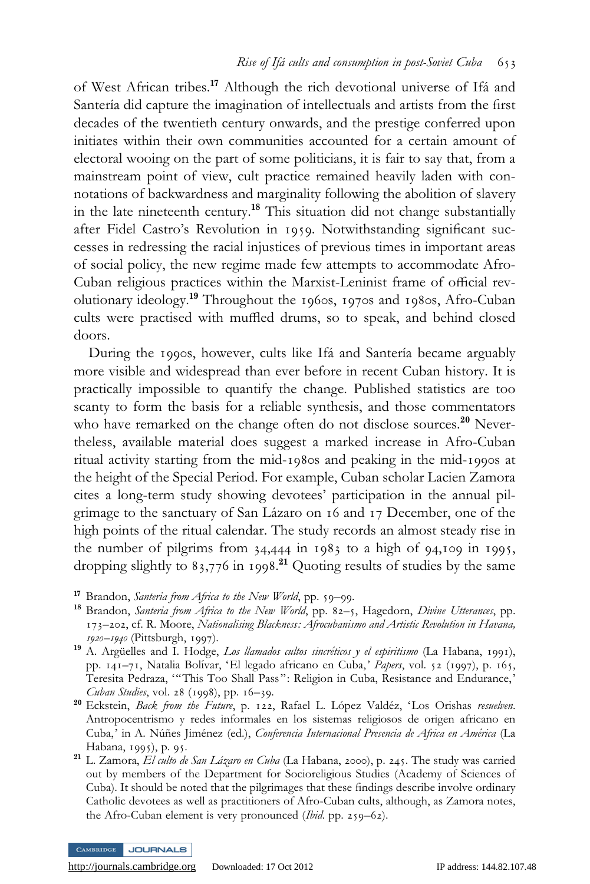of West African tribes.<sup>17</sup> Although the rich devotional universe of Ifá and Santería did capture the imagination of intellectuals and artists from the first decades of the twentieth century onwards, and the prestige conferred upon initiates within their own communities accounted for a certain amount of electoral wooing on the part of some politicians, it is fair to say that, from a mainstream point of view, cult practice remained heavily laden with connotations of backwardness and marginality following the abolition of slavery in the late nineteenth century.<sup>18</sup> This situation did not change substantially after Fidel Castro's Revolution in 1959. Notwithstanding significant successes in redressing the racial injustices of previous times in important areas of social policy, the new regime made few attempts to accommodate Afro-Cuban religious practices within the Marxist-Leninist frame of official revolutionary ideology.<sup>19</sup> Throughout the 1960s, 1970s and 1980s, Afro-Cuban cults were practised with muffled drums, so to speak, and behind closed doors.

During the 1990s, however, cults like Ifá and Santería became arguably more visible and widespread than ever before in recent Cuban history. It is practically impossible to quantify the change. Published statistics are too scanty to form the basis for a reliable synthesis, and those commentators who have remarked on the change often do not disclose sources.<sup>20</sup> Nevertheless, available material does suggest a marked increase in Afro-Cuban ritual activity starting from the mid-1980s and peaking in the mid-1990s at the height of the Special Period. For example, Cuban scholar Lacien Zamora cites a long-term study showing devotees' participation in the annual pilgrimage to the sanctuary of San Lázaro on 16 and 17 December, one of the high points of the ritual calendar. The study records an almost steady rise in the number of pilgrims from  $34,444$  in 1983 to a high of 94,109 in 1995, dropping slightly to  $83,776$  in 1998.<sup>21</sup> Quoting results of studies by the same

- <sup>17</sup> Brandon, Santeria from Africa to the New World, pp. 59–99.<br><sup>18</sup> Brandon, Santeria from Africa to the New World, pp. 82–5, Hagedorn, Divine Utterances, pp. 173–202, cf. R. Moore, Nationalising Blackness: Afrocubanismo and Artistic Revolution in Havana,
- 1920–1940 (Pittsburgh, 1997).<br><sup>19</sup> A. Argüelles and I. Hodge, *Los llamados cultos sincréticos y el espiritismo* (La Habana, 1991), pp. 141–71, Natalia Bolívar, 'El legado africano en Cuba,' Papers, vol. 52 (1997), p. 165, Teresita Pedraza, '''This Too Shall Pass'': Religion in Cuba, Resistance and Endurance,'
- Cuban Studies, vol. 28 (1998), pp. 16–39.<br><sup>20</sup> Eckstein, *Back from the Future*, p. 122, Rafael L. López Valdéz, 'Los Orishas *resuelven*. Antropocentrismo y redes informales en los sistemas religiosos de origen africano en Cuba,' in A. Núñes Jiménez (ed.), Conferencia Internacional Presencia de Africa en América (La Habana, 1995), p. 95.<br><sup>21</sup> L. Zamora, *El culto de San Lázaro en Cuba* (La Habana, 2000), p. 245. The study was carried
- out by members of the Department for Socioreligious Studies (Academy of Sciences of Cuba). It should be noted that the pilgrimages that these findings describe involve ordinary Catholic devotees as well as practitioners of Afro-Cuban cults, although, as Zamora notes, the Afro-Cuban element is very pronounced (*Ibid.* pp. 259–62).

CAMBRIDGE JOURNALS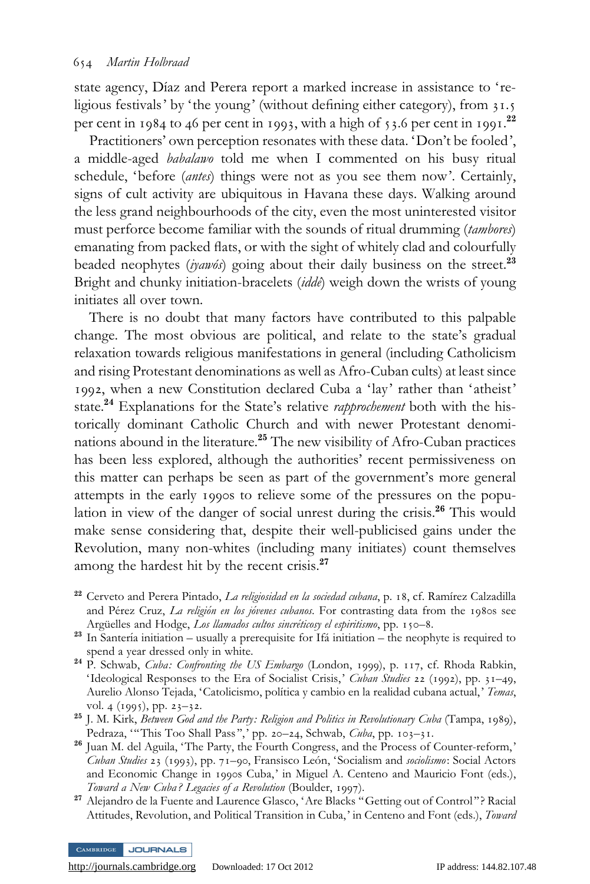state agency, Díaz and Perera report a marked increase in assistance to 'religious festivals' by 'the young' (without defining either category), from 31.5 per cent in 1984 to 46 per cent in 1993, with a high of 53.6 per cent in 1991.<sup>22</sup>

Practitioners' own perception resonates with these data. 'Don't be fooled', a middle-aged babalawo told me when I commented on his busy ritual schedule, 'before (antes) things were not as you see them now'. Certainly, signs of cult activity are ubiquitous in Havana these days. Walking around the less grand neighbourhoods of the city, even the most uninterested visitor must perforce become familiar with the sounds of ritual drumming (tambores) emanating from packed flats, or with the sight of whitely clad and colourfully beaded neophytes ( $\hat{y}$ awós) going about their daily business on the street.<sup>23</sup> Bright and chunky initiation-bracelets (idde) weigh down the wrists of young initiates all over town.

There is no doubt that many factors have contributed to this palpable change. The most obvious are political, and relate to the state's gradual relaxation towards religious manifestations in general (including Catholicism and rising Protestant denominations as well as Afro-Cuban cults) at least since 1992, when a new Constitution declared Cuba a 'lay' rather than ' atheist' state.<sup>24</sup> Explanations for the State's relative *rapprochement* both with the historically dominant Catholic Church and with newer Protestant denominations abound in the literature.<sup>25</sup> The new visibility of Afro-Cuban practices has been less explored, although the authorities' recent permissiveness on this matter can perhaps be seen as part of the government's more general attempts in the early 1990s to relieve some of the pressures on the population in view of the danger of social unrest during the crisis.<sup>26</sup> This would make sense considering that, despite their well-publicised gains under the Revolution, many non-whites (including many initiates) count themselves among the hardest hit by the recent crisis.<sup>27</sup>

- <sup>22</sup> Cerveto and Perera Pintado, La religiosidad en la sociedad cubana, p. 18, cf. Ramírez Calzadilla and Pérez Cruz, La religión en los jóvenes cubanos. For contrasting data from the 1980s see Argüelles and Hodge, Los llamados cultos sincréticosy el espiritismo, pp. 150–8.<br><sup>23</sup> In Santería initiation – usually a prerequisite for Ifá initiation – the neophyte is required to
- spend a year dressed only in white.<br><sup>24</sup> P. Schwab, *Cuba: Confronting the US Embargo* (London, 1999), p. 117, cf. Rhoda Rabkin,
- ' Ideological Responses to the Era of Socialist Crisis,' Cuban Studies 22 (1992), pp. 31–49, Aurelio Alonso Tejada, 'Catolicismo, política y cambio en la realidad cubana actual,' Temas,
- vol. 4 (1995), pp. 23–32.<br><sup>25</sup> J. M. Kirk, *Between God and the Party: Religion and Politics in Revolutionary Cuba* (Tampa, 1989), Pedraza, "This Too Shall Pass",' pp. 20–24, Schwab, *Cuba*, pp. 103–31.
- <sup>26</sup> Juan M. del Aguila, 'The Party, the Fourth Congress, and the Process of Counter-reform,' Cuban Studies 23 (1993), pp. 71-90, Fransisco León, 'Socialism and sociolismo: Social Actors and Economic Change in 1990s Cuba,' in Miguel A. Centeno and Mauricio Font (eds.),
- Toward a New Cuba ? Legacies of a Revolution (Boulder, 1997). <sup>27</sup> Alejandro de la Fuente and Laurence Glasco, 'Are Blacks ''Getting out of Control'' ? Racial Attitudes, Revolution, and Political Transition in Cuba,' in Centeno and Font (eds.), Toward

CAMBRIDGE JOURNALS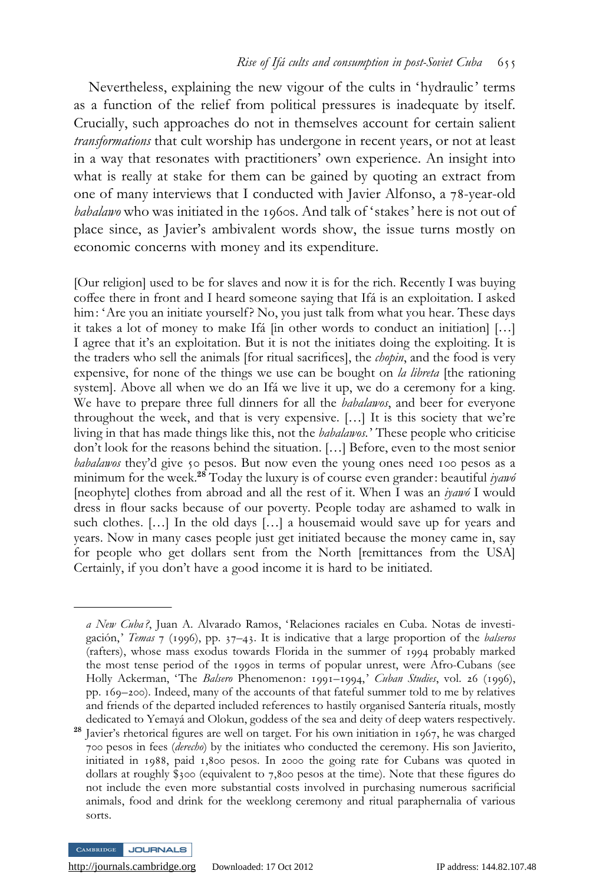Nevertheless, explaining the new vigour of the cults in 'hydraulic' terms as a function of the relief from political pressures is inadequate by itself. Crucially, such approaches do not in themselves account for certain salient transformations that cult worship has undergone in recent years, or not at least in a way that resonates with practitioners' own experience. An insight into what is really at stake for them can be gained by quoting an extract from one of many interviews that I conducted with Javier Alfonso, a 78-year-old babalawo who was initiated in the 1960s. And talk of 'stakes' here is not out of place since, as Javier's ambivalent words show, the issue turns mostly on economic concerns with money and its expenditure.

[Our religion] used to be for slaves and now it is for the rich. Recently I was buying coffee there in front and I heard someone saying that Ifa´ is an exploitation. I asked him: 'Are you an initiate yourself? No, you just talk from what you hear. These days it takes a lot of money to make Ifa<sup> $\left[$ in other words to conduct an initiation $\left[$ ... $\right]$ </sup> I agree that it's an exploitation. But it is not the initiates doing the exploiting. It is the traders who sell the animals [for ritual sacrifices], the *chopin*, and the food is very expensive, for none of the things we use can be bought on  $la$  libreta [the rationing] system]. Above all when we do an Ifa´ we live it up, we do a ceremony for a king. We have to prepare three full dinners for all the *babalawos*, and beer for everyone throughout the week, and that is very expensive.  $[...]$  It is this society that we're living in that has made things like this, not the *babalawos*.' These people who criticise don't look for the reasons behind the situation. [...] Before, even to the most senior babalawos they'd give 50 pesos. But now even the young ones need 100 pesos as a minimum for the week.<sup>28</sup> Today the luxury is of course even grander: beautiful *iyawo* [neophyte] clothes from abroad and all the rest of it. When I was an iyawo I would dress in flour sacks because of our poverty. People today are ashamed to walk in such clothes.  $[\ldots]$  In the old days  $[\ldots]$  a housemaid would save up for years and years. Now in many cases people just get initiated because the money came in, say for people who get dollars sent from the North [remittances from the USA] Certainly, if you don't have a good income it is hard to be initiated.

a New Cuba ?, Juan A. Alvarado Ramos, 'Relaciones raciales en Cuba. Notas de investigación,' Temas 7 (1996), pp.  $37-43$ . It is indicative that a large proportion of the *balseros* (rafters), whose mass exodus towards Florida in the summer of 1994 probably marked the most tense period of the 1990s in terms of popular unrest, were Afro-Cubans (see Holly Ackerman, 'The Balsero Phenomenon: 1991-1994,' Cuban Studies, vol. 26 (1996), pp. 169–200). Indeed, many of the accounts of that fateful summer told to me by relatives and friends of the departed included references to hastily organised Santería rituals, mostly dedicated to Yemayá and Olokun, goddess of the sea and deity of deep waters respectively.

 $28$  Javier's rhetorical figures are well on target. For his own initiation in 1967, he was charged 700 pesos in fees (derecho) by the initiates who conducted the ceremony. His son Javierito, initiated in 1988, paid 1,800 pesos. In 2000 the going rate for Cubans was quoted in dollars at roughly \$300 (equivalent to 7,800 pesos at the time). Note that these figures do not include the even more substantial costs involved in purchasing numerous sacrificial animals, food and drink for the weeklong ceremony and ritual paraphernalia of various sorts.

JOURNALS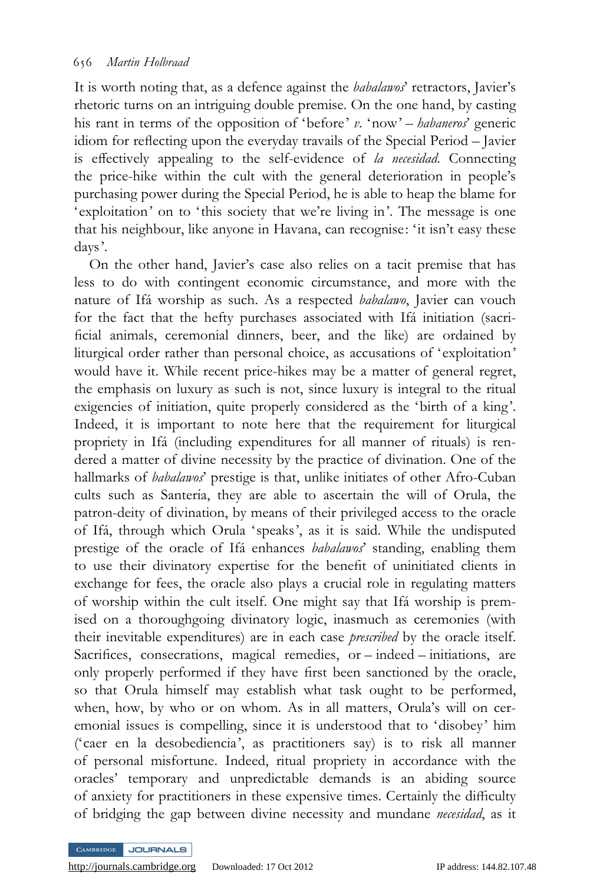It is worth noting that, as a defence against the *babalawos*' retractors, Javier's rhetoric turns on an intriguing double premise. On the one hand, by casting his rant in terms of the opposition of 'before'  $v$ . 'now' – habaneros' generic idiom for reflecting upon the everyday travails of the Special Period – Javier is effectively appealing to the self-evidence of la necesidad. Connecting the price-hike within the cult with the general deterioration in people's purchasing power during the Special Period, he is able to heap the blame for 'exploitation' on to 'this society that we're living in'. The message is one that his neighbour, like anyone in Havana, can recognise: 'it isn't easy these days'.

On the other hand, Javier's case also relies on a tacit premise that has less to do with contingent economic circumstance, and more with the nature of Ifá worship as such. As a respected babalawo, Javier can vouch for the fact that the hefty purchases associated with Ifa initiation (sacrificial animals, ceremonial dinners, beer, and the like) are ordained by liturgical order rather than personal choice, as accusations of 'exploitation' would have it. While recent price-hikes may be a matter of general regret, the emphasis on luxury as such is not, since luxury is integral to the ritual exigencies of initiation, quite properly considered as the ' birth of a king'. Indeed, it is important to note here that the requirement for liturgical propriety in Ifa<sup></sup> (including expenditures for all manner of rituals) is rendered a matter of divine necessity by the practice of divination. One of the hallmarks of *babalawos*' prestige is that, unlike initiates of other Afro-Cuban cults such as Santería, they are able to ascertain the will of Orula, the patron-deity of divination, by means of their privileged access to the oracle of Ifa´, through which Orula ' speaks', as it is said. While the undisputed prestige of the oracle of Ifá enhances babalawos' standing, enabling them to use their divinatory expertise for the benefit of uninitiated clients in exchange for fees, the oracle also plays a crucial role in regulating matters of worship within the cult itself. One might say that Ifa´ worship is premised on a thoroughgoing divinatory logic, inasmuch as ceremonies (with their inevitable expenditures) are in each case prescribed by the oracle itself. Sacrifices, consecrations, magical remedies, or – indeed – initiations, are only properly performed if they have first been sanctioned by the oracle, so that Orula himself may establish what task ought to be performed, when, how, by who or on whom. As in all matters, Orula's will on ceremonial issues is compelling, since it is understood that to 'disobey' him ('caer en la desobediencia', as practitioners say) is to risk all manner of personal misfortune. Indeed, ritual propriety in accordance with the oracles' temporary and unpredictable demands is an abiding source of anxiety for practitioners in these expensive times. Certainly the difficulty of bridging the gap between divine necessity and mundane necesidad, as it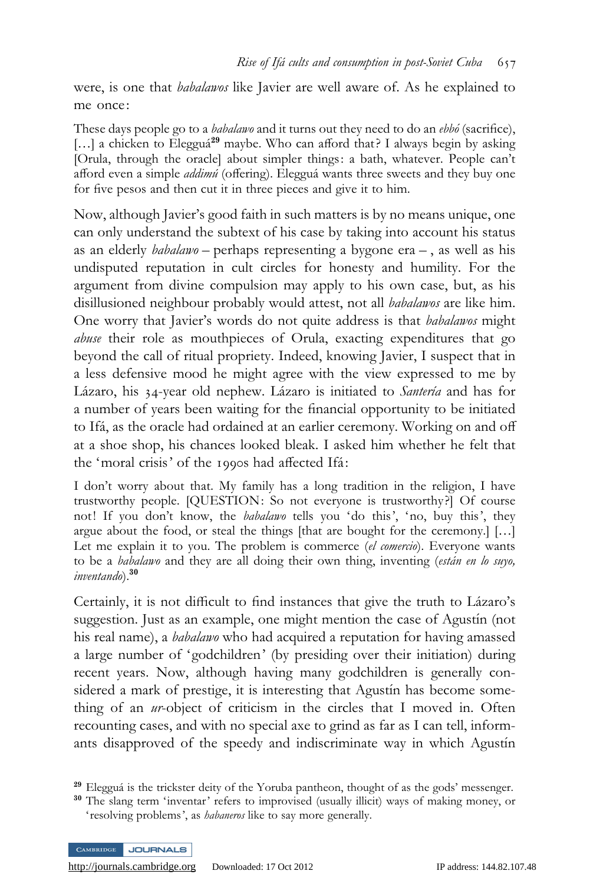were, is one that *babalawos* like Javier are well aware of. As he explained to me once:

These days people go to a *babalawo* and it turns out they need to do an *ebbo* (sacrifice), [...] a chicken to Eleggua<sup>29</sup> maybe. Who can afford that? I always begin by asking [Orula, through the oracle] about simpler things: a bath, whatever. People can't afford even a simple *addimu* (offering). Eleggua<sup>*'*</sup> wants three sweets and they buy one for five pesos and then cut it in three pieces and give it to him.

Now, although Javier's good faith in such matters is by no means unique, one can only understand the subtext of his case by taking into account his status as an elderly babalawo – perhaps representing a bygone era – , as well as his undisputed reputation in cult circles for honesty and humility. For the argument from divine compulsion may apply to his own case, but, as his disillusioned neighbour probably would attest, not all *babalawos* are like him. One worry that Javier's words do not quite address is that babalawos might abuse their role as mouthpieces of Orula, exacting expenditures that go beyond the call of ritual propriety. Indeed, knowing Javier, I suspect that in a less defensive mood he might agree with the view expressed to me by Lázaro, his 34-year old nephew. Lázaro is initiated to Santería and has for a number of years been waiting for the financial opportunity to be initiated to Ifá, as the oracle had ordained at an earlier ceremony. Working on and off at a shoe shop, his chances looked bleak. I asked him whether he felt that the 'moral crisis' of the 1990s had affected Ifa:

I don't worry about that. My family has a long tradition in the religion, I have trustworthy people. [QUESTION: So not everyone is trustworthy ?] Of course not! If you don't know, the *babalawo* tells you 'do this', 'no, buy this', they argue about the food, or steal the things [that are bought for the ceremony.]  $[...]$ Let me explain it to you. The problem is commerce (el comercio). Everyone wants to be a *babalawo* and they are all doing their own thing, inventing (están en lo suyo, inventando).<sup>30</sup>

Certainly, it is not difficult to find instances that give the truth to Lázaro's suggestion. Just as an example, one might mention the case of Agustín (not his real name), a *babalawo* who had acquired a reputation for having amassed a large number of 'godchildren' (by presiding over their initiation) during recent years. Now, although having many godchildren is generally considered a mark of prestige, it is interesting that Agustín has become something of an *ur*-object of criticism in the circles that I moved in. Often recounting cases, and with no special axe to grind as far as I can tell, informants disapproved of the speedy and indiscriminate way in which Agustín

<sup>&</sup>lt;sup>29</sup> Elegguá is the trickster deity of the Yoruba pantheon, thought of as the gods' messenger.  $30$  The slang term 'inventar' refers to improvised (usually illicit) ways of making money, or ' resolving problems', as habaneros like to say more generally.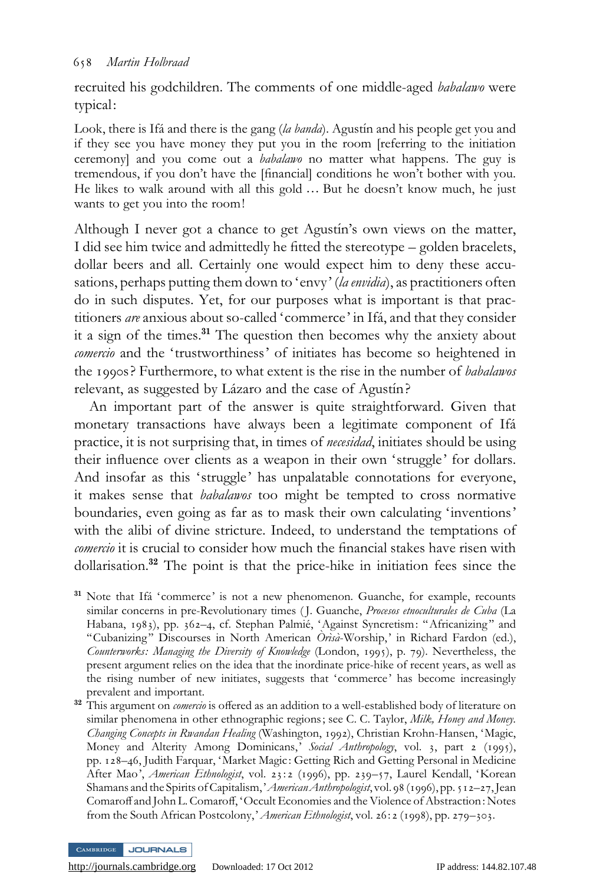recruited his godchildren. The comments of one middle-aged babalawo were typical:

Look, there is Ifá and there is the gang (la banda). Agustín and his people get you and if they see you have money they put you in the room [referring to the initiation ceremony] and you come out a *babalawo* no matter what happens. The guy is tremendous, if you don't have the [financial] conditions he won't bother with you. He likes to walk around with all this gold ... But he doesn't know much, he just wants to get you into the room!

Although I never got a chance to get Agustín's own views on the matter, I did see him twice and admittedly he fitted the stereotype – golden bracelets, dollar beers and all. Certainly one would expect him to deny these accusations, perhaps putting them down to 'envy' (la envidia), as practitioners often do in such disputes. Yet, for our purposes what is important is that practitioners are anxious about so-called 'commerce' in Ifá, and that they consider it a sign of the times.<sup>31</sup> The question then becomes why the anxiety about comercio and the 'trustworthiness' of initiates has become so heightened in the 1990s ? Furthermore, to what extent is the rise in the number of babalawos relevant, as suggested by Lázaro and the case of Agustín?

An important part of the answer is quite straightforward. Given that monetary transactions have always been a legitimate component of Ifa´ practice, it is not surprising that, in times of *necesidad*, initiates should be using their influence over clients as a weapon in their own 'struggle' for dollars. And insofar as this 'struggle' has unpalatable connotations for everyone, it makes sense that babalawos too might be tempted to cross normative boundaries, even going as far as to mask their own calculating 'inventions' with the alibi of divine stricture. Indeed, to understand the temptations of comercio it is crucial to consider how much the financial stakes have risen with dollarisation.<sup>32</sup> The point is that the price-hike in initiation fees since the

<sup>31</sup> Note that Ifá 'commerce' is not a new phenomenon. Guanche, for example, recounts similar concerns in pre-Revolutionary times (J. Guanche, Procesos etnoculturales de Cuba (La Habana, 1983), pp. 362-4, cf. Stephan Palmié, 'Against Syncretism: "Africanizing" and "Cubanizing" Discourses in North American  $\hat{O}$ risà-Worship,' in Richard Fardon (ed.), Counterworks: Managing the Diversity of Knowledge (London, 1995), p. 79). Nevertheless, the present argument relies on the idea that the inordinate price-hike of recent years, as well as the rising number of new initiates, suggests that 'commerce' has become increasingly

prevalent and important.<br><sup>32</sup> This argument on *comercio* is offered as an addition to a well-established body of literature on similar phenomena in other ethnographic regions; see C. C. Taylor, Milk, Honey and Money. Changing Concepts in Rwandan Healing (Washington, 1992), Christian Krohn-Hansen, 'Magic, Money and Alterity Among Dominicans,' Social Anthropology, vol. 3, part 2 (1995), pp. 128–46, Judith Farquar, 'Market Magic: Getting Rich and Getting Personal in Medicine After Mao', American Ethnologist, vol. 23:2 (1996), pp. 239-57, Laurel Kendall, 'Korean Shamans and the Spirits of Capitalism,' American Anthropologist, vol. 98 (1996), pp. 512-27, Jean Comaroff and John L. Comaroff, 'Occult Economies and the Violence of Abstraction: Notes from the South African Postcolony,' American Ethnologist, vol. 26:2 (1998), pp. 279–303.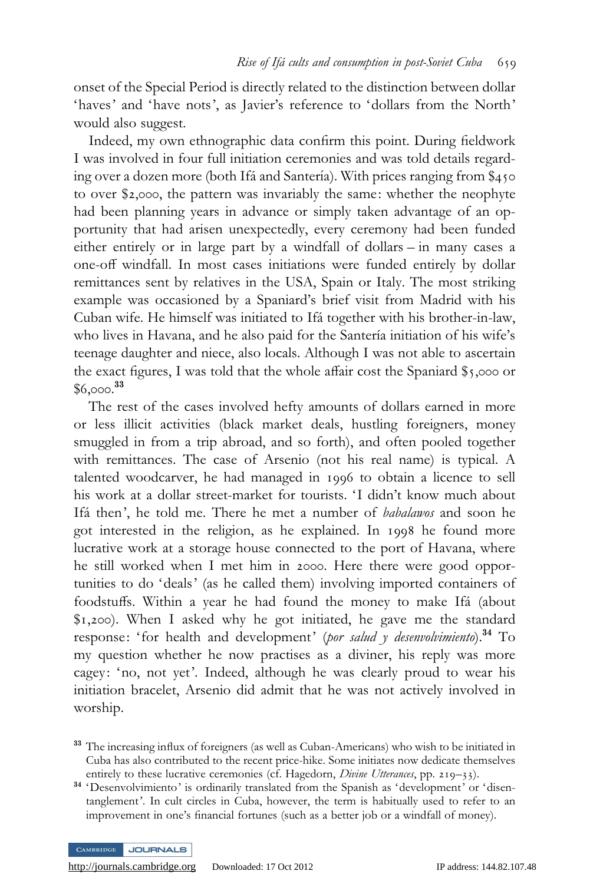onset of the Special Period is directly related to the distinction between dollar 'haves' and 'have nots', as Javier's reference to 'dollars from the North' would also suggest.

Indeed, my own ethnographic data confirm this point. During fieldwork I was involved in four full initiation ceremonies and was told details regarding over a dozen more (both Ifa´ and Santeria). With prices ranging from \$450 to over \$2,000, the pattern was invariably the same: whether the neophyte had been planning years in advance or simply taken advantage of an opportunity that had arisen unexpectedly, every ceremony had been funded either entirely or in large part by a windfall of dollars – in many cases a one-off windfall. In most cases initiations were funded entirely by dollar remittances sent by relatives in the USA, Spain or Italy. The most striking example was occasioned by a Spaniard's brief visit from Madrid with his Cuban wife. He himself was initiated to Ifa´ together with his brother-in-law, who lives in Havana, and he also paid for the Santería initiation of his wife's teenage daughter and niece, also locals. Although I was not able to ascertain the exact figures, I was told that the whole affair cost the Spaniard \$5,000 or \$6,000.<sup>33</sup>

The rest of the cases involved hefty amounts of dollars earned in more or less illicit activities (black market deals, hustling foreigners, money smuggled in from a trip abroad, and so forth), and often pooled together with remittances. The case of Arsenio (not his real name) is typical. A talented woodcarver, he had managed in 1996 to obtain a licence to sell his work at a dollar street-market for tourists. 'I didn't know much about Ifá then', he told me. There he met a number of *babalawos* and soon he got interested in the religion, as he explained. In 1998 he found more lucrative work at a storage house connected to the port of Havana, where he still worked when I met him in 2000. Here there were good opportunities to do ' deals' (as he called them) involving imported containers of foodstuffs. Within a year he had found the money to make Ifá (about \$1,200). When I asked why he got initiated, he gave me the standard response: 'for health and development' (por salud y desenvolvimiento). $34$  To my question whether he now practises as a diviner, his reply was more cagey: 'no, not yet'. Indeed, although he was clearly proud to wear his initiation bracelet, Arsenio did admit that he was not actively involved in worship.

<sup>34</sup> 'Desenvolvimiento' is ordinarily translated from the Spanish as 'development' or 'disentanglement'. In cult circles in Cuba, however, the term is habitually used to refer to an improvement in one's financial fortunes (such as a better job or a windfall of money).

JOURNALS

<sup>&</sup>lt;sup>33</sup> The increasing influx of foreigners (as well as Cuban-Americans) who wish to be initiated in Cuba has also contributed to the recent price-hike. Some initiates now dedicate themselves entirely to these lucrative ceremonies (cf. Hagedorn, *Divine Utterances*, pp. 219–33).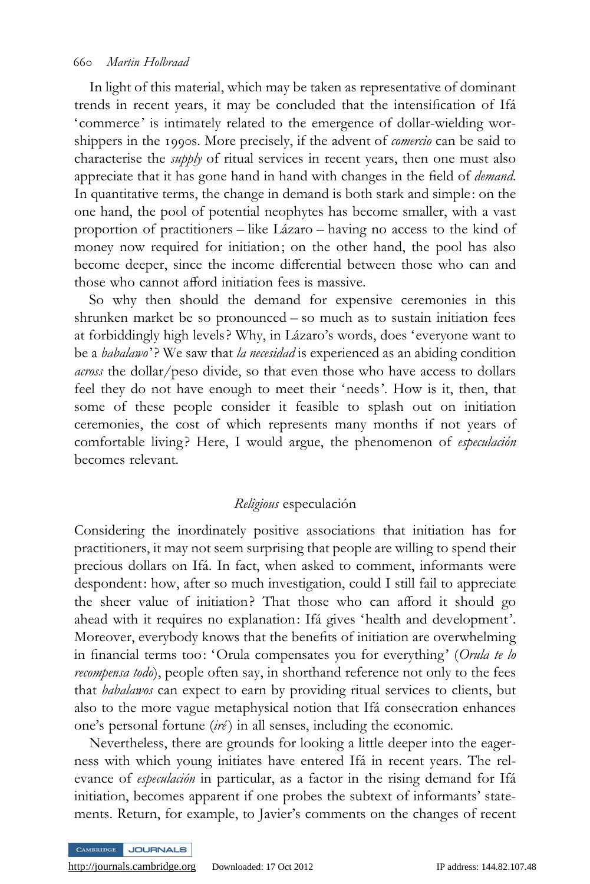#### 660 Martin Holbraad

In light of this material, which may be taken as representative of dominant trends in recent years, it may be concluded that the intensification of Ifa´ 'commerce' is intimately related to the emergence of dollar-wielding worshippers in the 1990s. More precisely, if the advent of *comercio* can be said to characterise the supply of ritual services in recent years, then one must also appreciate that it has gone hand in hand with changes in the field of demand. In quantitative terms, the change in demand is both stark and simple: on the one hand, the pool of potential neophytes has become smaller, with a vast proportion of practitioners – like Lázaro – having no access to the kind of money now required for initiation; on the other hand, the pool has also become deeper, since the income differential between those who can and those who cannot afford initiation fees is massive.

So why then should the demand for expensive ceremonies in this shrunken market be so pronounced – so much as to sustain initiation fees at forbiddingly high levels? Why, in Lázaro's words, does 'everyone want to be a *babalawo*'? We saw that *la necesidad* is experienced as an abiding condition across the dollar/peso divide, so that even those who have access to dollars feel they do not have enough to meet their 'needs'. How is it, then, that some of these people consider it feasible to splash out on initiation ceremonies, the cost of which represents many months if not years of comfortable living? Here, I would argue, the phenomenon of especulación becomes relevant.

### Religious especulación

Considering the inordinately positive associations that initiation has for practitioners, it may not seem surprising that people are willing to spend their precious dollars on Ifá. In fact, when asked to comment, informants were despondent: how, after so much investigation, could I still fail to appreciate the sheer value of initiation ? That those who can afford it should go ahead with it requires no explanation: Ifá gives 'health and development'. Moreover, everybody knows that the benefits of initiation are overwhelming in financial terms too: 'Orula compensates you for everything' (Orula te lo recompensa todo), people often say, in shorthand reference not only to the fees that *babalawos* can expect to earn by providing ritual services to clients, but also to the more vague metaphysical notion that Ifa´ consecration enhances one's personal fortune (iré) in all senses, including the economic.

Nevertheless, there are grounds for looking a little deeper into the eagerness with which young initiates have entered Ifa´ in recent years. The relevance of especulación in particular, as a factor in the rising demand for Ifá initiation, becomes apparent if one probes the subtext of informants' statements. Return, for example, to Javier's comments on the changes of recent

CAMBRIDGE JOURNALS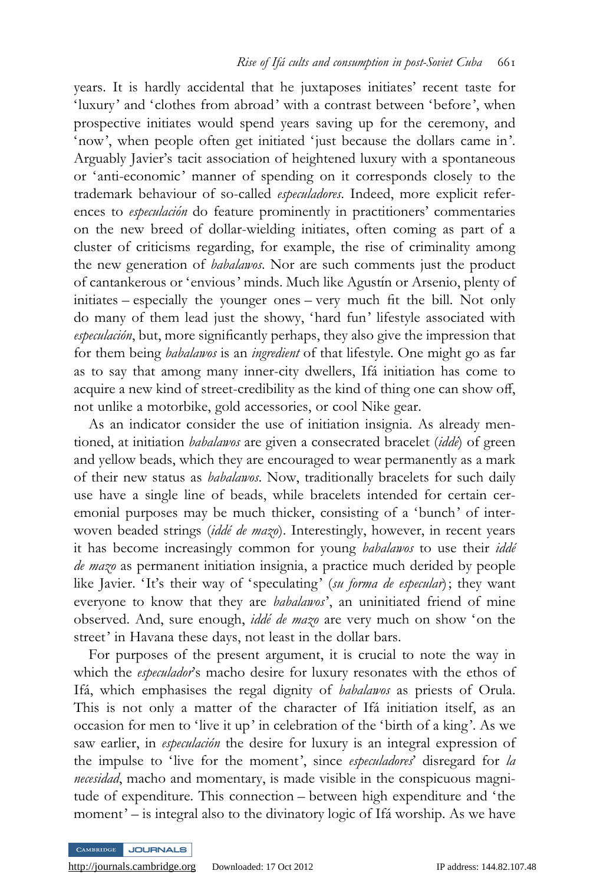years. It is hardly accidental that he juxtaposes initiates' recent taste for 'luxury' and 'clothes from abroad' with a contrast between 'before', when prospective initiates would spend years saving up for the ceremony, and 'now', when people often get initiated 'just because the dollars came in'. Arguably Javier's tacit association of heightened luxury with a spontaneous or 'anti-economic' manner of spending on it corresponds closely to the trademark behaviour of so-called especuladores. Indeed, more explicit references to *especulación* do feature prominently in practitioners' commentaries on the new breed of dollar-wielding initiates, often coming as part of a cluster of criticisms regarding, for example, the rise of criminality among the new generation of babalawos. Nor are such comments just the product of cantankerous or 'envious' minds. Much like Agustín or Arsenio, plenty of initiates – especially the younger ones – very much fit the bill. Not only do many of them lead just the showy, 'hard fun' lifestyle associated with especulación, but, more significantly perhaps, they also give the impression that for them being *babalawos* is an *ingredient* of that lifestyle. One might go as far as to say that among many inner-city dwellers, Ifa´ initiation has come to acquire a new kind of street-credibility as the kind of thing one can show off, not unlike a motorbike, gold accessories, or cool Nike gear.

As an indicator consider the use of initiation insignia. As already mentioned, at initiation *babalawos* are given a consecrated bracelet *(idde*) of green and yellow beads, which they are encouraged to wear permanently as a mark of their new status as babalawos. Now, traditionally bracelets for such daily use have a single line of beads, while bracelets intended for certain ceremonial purposes may be much thicker, consisting of a 'bunch' of interwoven beaded strings (iddé de mazo). Interestingly, however, in recent years it has become increasingly common for young *babalawos* to use their *iddé* de mazo as permanent initiation insignia, a practice much derided by people like Javier. 'It's their way of 'speculating' (su forma de especular); they want everyone to know that they are babalawos', an uninitiated friend of mine observed. And, sure enough, *iddé de mazo* are very much on show 'on the street' in Havana these days, not least in the dollar bars.

For purposes of the present argument, it is crucial to note the way in which the *especulador's* macho desire for luxury resonates with the ethos of Ifá, which emphasises the regal dignity of *babalawos* as priests of Orula. This is not only a matter of the character of Ifa initiation itself, as an occasion for men to 'live it up' in celebration of the ' birth of a king'. As we saw earlier, in *especulación* the desire for luxury is an integral expression of the impulse to 'live for the moment', since especuladores' disregard for la necesidad, macho and momentary, is made visible in the conspicuous magnitude of expenditure. This connection – between high expenditure and 'the moment' – is integral also to the divinatory logic of Ifá worship. As we have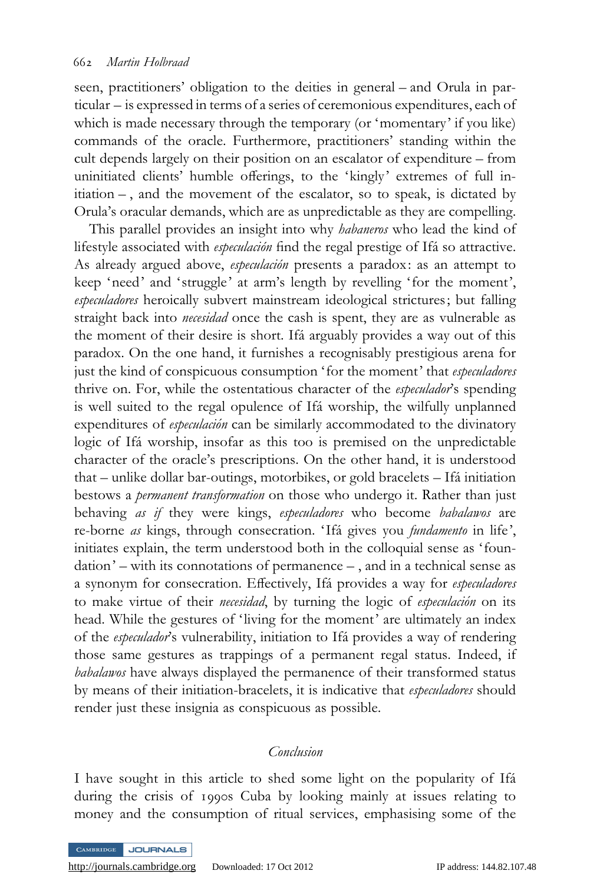seen, practitioners' obligation to the deities in general – and Orula in particular – is expressed in terms of a series of ceremonious expenditures, each of which is made necessary through the temporary (or 'momentary' if you like) commands of the oracle. Furthermore, practitioners' standing within the cult depends largely on their position on an escalator of expenditure – from uninitiated clients' humble offerings, to the 'kingly' extremes of full initiation – , and the movement of the escalator, so to speak, is dictated by Orula's oracular demands, which are as unpredictable as they are compelling.

This parallel provides an insight into why habaneros who lead the kind of lifestyle associated with *especulación* find the regal prestige of Ifá so attractive. As already argued above, especulación presents a paradox: as an attempt to keep 'need' and 'struggle' at arm's length by revelling 'for the moment', especuladores heroically subvert mainstream ideological strictures; but falling straight back into *necesidad* once the cash is spent, they are as vulnerable as the moment of their desire is short. If a arguably provides a way out of this paradox. On the one hand, it furnishes a recognisably prestigious arena for just the kind of conspicuous consumption 'for the moment' that especuladores thrive on. For, while the ostentatious character of the *especulador's* spending is well suited to the regal opulence of Ifa worship, the wilfully unplanned expenditures of *especulación* can be similarly accommodated to the divinatory logic of Ifa<sup>x</sup> worship, insofar as this too is premised on the unpredictable character of the oracle's prescriptions. On the other hand, it is understood that – unlike dollar bar-outings, motorbikes, or gold bracelets – Ifa´ initiation bestows a *permanent transformation* on those who undergo it. Rather than just behaving as if they were kings, especuladores who become babalawos are re-borne as kings, through consecration. 'Ifá gives you *fundamento* in life', initiates explain, the term understood both in the colloquial sense as 'foundation' – with its connotations of permanence – , and in a technical sense as a synonym for consecration. Effectively, Ifá provides a way for especuladores to make virtue of their necesidad, by turning the logic of especulación on its head. While the gestures of 'living for the moment' are ultimately an index of the *especulador's* vulnerability, initiation to Ifá provides a way of rendering those same gestures as trappings of a permanent regal status. Indeed, if babalawos have always displayed the permanence of their transformed status by means of their initiation-bracelets, it is indicative that especuladores should render just these insignia as conspicuous as possible.

#### Conclusion

I have sought in this article to shed some light on the popularity of Ifa´ during the crisis of 1990s Cuba by looking mainly at issues relating to money and the consumption of ritual services, emphasising some of the